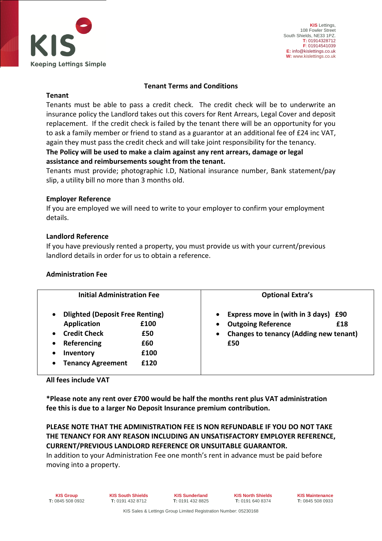

## **Tenant Terms and Conditions**

#### **Tenant**

Tenants must be able to pass a credit check. The credit check will be to underwrite an insurance policy the Landlord takes out this covers for Rent Arrears, Legal Cover and deposit replacement. If the credit check is failed by the tenant there will be an opportunity for you to ask a family member or friend to stand as a guarantor at an additional fee of £24 inc VAT, again they must pass the credit check and will take joint responsibility for the tenancy.

# **The Policy will be used to make a claim against any rent arrears, damage or legal assistance and reimbursements sought from the tenant.**

Tenants must provide; photographic I.D, National insurance number, Bank statement/pay slip, a utility bill no more than 3 months old.

# **Employer Reference**

If you are employed we will need to write to your employer to confirm your employment details.

#### **Landlord Reference**

If you have previously rented a property, you must provide us with your current/previous landlord details in order for us to obtain a reference.

# **Administration Fee**

| <b>Initial Administration Fee</b><br><b>Dlighted (Deposit Free Renting)</b><br>٠ |      | <b>Optional Extra's</b><br>Express move in (with in 3 days) £90 |
|----------------------------------------------------------------------------------|------|-----------------------------------------------------------------|
|                                                                                  |      |                                                                 |
| <b>Credit Check</b><br>$\bullet$                                                 | £50  | <b>Changes to tenancy (Adding new tenant)</b><br>$\bullet$      |
| Referencing<br>$\bullet$                                                         | £60  | £50                                                             |
| Inventory                                                                        | £100 |                                                                 |
| <b>Tenancy Agreement</b>                                                         | f120 |                                                                 |

**All fees include VAT**

**\*Please note any rent over £700 would be half the months rent plus VAT administration fee this is due to a larger No Deposit Insurance premium contribution.** 

**PLEASE NOTE THAT THE ADMINISTRATION FEE IS NON REFUNDABLE IF YOU DO NOT TAKE THE TENANCY FOR ANY REASON INCLUDING AN UNSATISFACTORY EMPLOYER REFERENCE, CURRENT/PREVIOUS LANDLORD REFERENCE OR UNSUITABLE GUARANTOR.**

In addition to your Administration Fee one month's rent in advance must be paid before moving into a property.

**KIS Group T:** 0845 508 0932 **KIS South Shields T:** 0191 432 8712

**KIS Sunderland T:** 0191 432 8825 **KIS North Shields T:** 0191 640 8374

**KIS Maintenance T:** 0845 508 0933